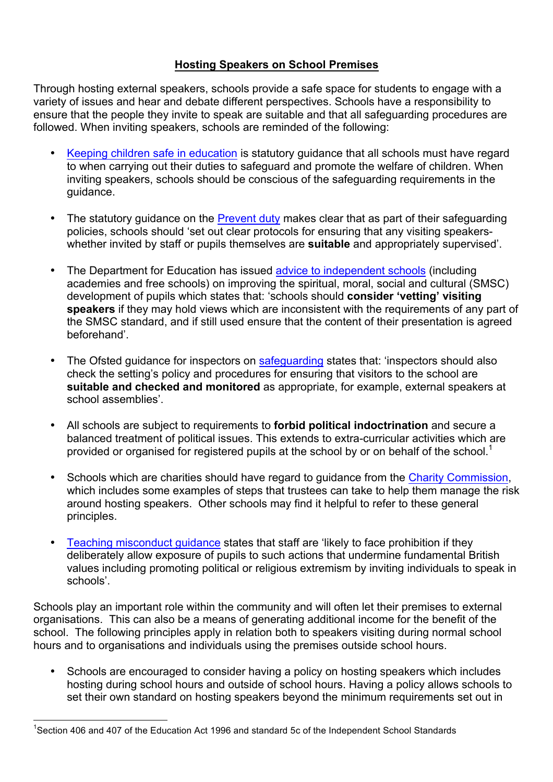## **Hosting Speakers on School Premises**

 followed. When inviting speakers, schools are reminded of the following: Through hosting external speakers, schools provide a safe space for students to engage with a variety of issues and hear and debate different perspectives. Schools have a responsibility to ensure that the people they invite to speak are suitable and that all safeguarding procedures are

- Keeping children safe in education is statutory guidance that all schools must have regard to when carrying out their duties to safeguard and promote the welfare of children. When inviting speakers, schools should be conscious of the safeguarding requirements in the guidance.
- The statutory guidance on the **Prevent duty** makes clear that as part of their safeguarding policies, schools should 'set out clear protocols for ensuring that any visiting speakers-whether invited by staff or pupils themselves are **suitable** and appropriately supervised'.
- The Department for Education has issued **advice to independent schools** (including academies and free schools) on improving the spiritual, moral, social and cultural (SMSC) development of pupils which states that: 'schools should **consider 'vetting' visiting speakers** if they may hold views which are inconsistent with the requirements of any part of the SMSC standard, and if still used ensure that the content of their presentation is agreed When inviting speakers, schools are reminded of the<br>
<u>eeping children safe in education</u> is statutory guidanc<br>
when carrying out their duties to safeguard and pron<br>
witing speakers, schools should be conscious of the sidan beforehand'.
- The Ofsted guidance for inspectors on **safeguarding** states that: 'inspectors should also check the setting's policy and procedures for ensuring that visitors to the school are  **suitable and checked and monitored** as appropriate, for example, external speakers at school assemblies'.
- • All schools are subject to requirements to **forbid political indoctrination** and secure a balanced treatment of political issues. This extends to extra-curricular activities which are provided or organised for registered pupils at the school by or on behalf of the school.<sup>1</sup>
- Schools which are charities should have regard to guidance from the **Charity Commission**, which includes some examples of steps that trustees can take to help them manage the risk around hosting speakers. Other schools may find it helpful to refer to these general principles.
- Teaching misconduct guidance states that staff are 'likely to face prohibition if they deliberately allow exposure of pupils to such actions that undermine fundamental British values including promoting political or religious extremism by inviting individuals to speak in schools'.

 Schools play an important role within the community and will often let their premises to external organisations. This can also be a means of generating additional income for the benefit of the school. The following principles apply in relation both to speakers visiting during normal school hours and to organisations and individuals using the premises outside school hours. rately allow<br>s including p<br>bls'.<br>/ an importar<br>s. This can

 • Schools are encouraged to consider having a policy on hosting speakers which includes set their own standard on hosting speakers beyond the minimum requirements set out in and to organisations and<br>Schools are encouraged<br>hosting during school hot<br>set their own standard or<br>406 and 407 of the Education hosting during school hours and outside of school hours. Having a policy allows schools to

 $\overline{a}$ <sup>1</sup>Section 406 and 407 of the Education Act 1996 and standard 5c of the Independent School Standards